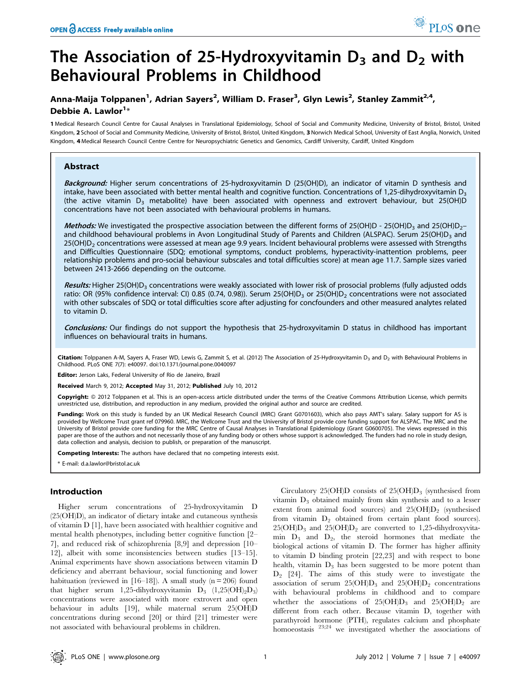# Anna-Maija Tolppanen<sup>1</sup>, Adrian Sayers<sup>2</sup>, William D. Fraser<sup>3</sup>, Glyn Lewis<sup>2</sup>, Stanley Zammit<sup>2,4</sup>, Debbie A. Lawlor<sup>1</sup>\*

1 Medical Research Council Centre for Causal Analyses in Translational Epidemiology, School of Social and Community Medicine, University of Bristol, Bristol, United Kingdom, 2 School of Social and Community Medicine, University of Bristol, Bristol, United Kingdom, 3 Norwich Medical School, University of East Anglia, Norwich, United Kingdom, 4 Medical Research Council Centre Centre for Neuropsychiatric Genetics and Genomics, Cardiff University, Cardiff, United Kingdom

# Abstract

Background: Higher serum concentrations of 25-hydroxyvitamin D (25(OH)D), an indicator of vitamin D synthesis and intake, have been associated with better mental health and cognitive function. Concentrations of 1.25-dihydroxyvitamin  $D_3$ (the active vitamin  $D_3$  metabolite) have been associated with openness and extrovert behaviour, but 25(OH)D concentrations have not been associated with behavioural problems in humans.

Methods: We investigated the prospective association between the different forms of 25(OH)D - 25(OH)D<sub>3</sub> and 25(OH)D<sub>2</sub>and childhood behavioural problems in Avon Longitudinal Study of Parents and Children (ALSPAC). Serum 25(OH)D<sub>3</sub> and 25(OH)D<sub>2</sub> concentrations were assessed at mean age 9.9 years. Incident behavioural problems were assessed with Strengths and Difficulties Questionnaire (SDQ; emotional symptoms, conduct problems, hyperactivity-inattention problems, peer relationship problems and pro-social behaviour subscales and total difficulties score) at mean age 11.7. Sample sizes varied between 2413-2666 depending on the outcome.

Results: Higher 25(OH)D<sub>3</sub> concentrations were weakly associated with lower risk of prosocial problems (fully adjusted odds ratio: OR (95% confidence interval: CI) 0.85 (0.74, 0.98)). Serum 25(OH)D<sub>3</sub> or 25(OH)D<sub>2</sub> concentrations were not associated with other subscales of SDQ or total difficulties score after adjusting for concfounders and other measured analytes related to vitamin D.

Conclusions: Our findings do not support the hypothesis that 25-hydroxyvitamin D status in childhood has important influences on behavioural traits in humans.

Citation: Tolppanen A-M, Sayers A, Fraser WD, Lewis G, Zammit S, et al. (2012) The Association of 25-Hydroxyvitamin D<sub>3</sub> and D<sub>2</sub> with Behavioural Problems in Childhood. PLoS ONE 7(7): e40097. doi:10.1371/journal.pone.0040097

Editor: Jerson Laks, Federal University of Rio de Janeiro, Brazil

Received March 9, 2012; Accepted May 31, 2012; Published July 10, 2012

**Copyright:** © 2012 Tolppanen et al. This is an open-access article distributed under the terms of the Creative Commons Attribution License, which permits unrestricted use, distribution, and reproduction in any medium, provided the original author and source are credited.

Funding: Work on this study is funded by an UK Medical Research Council (MRC) Grant G0701603), which also pays AMT's salary. Salary support for AS is provided by Wellcome Trust grant ref 079960. MRC, the Wellcome Trust and the University of Bristol provide core funding support for ALSPAC. The MRC and the University of Bristol provide core funding for the MRC Centre of Causal Analyses in Translational Epidemiology (Grant G0600705). The views expressed in this paper are those of the authors and not necessarily those of any funding body or others whose support is acknowledged. The funders had no role in study design, data collection and analysis, decision to publish, or preparation of the manuscript.

Competing Interests: The authors have declared that no competing interests exist.

\* E-mail: d.a.lawlor@bristol.ac.uk

# Introduction

Higher serum concentrations of 25-hydroxyvitamin D (25(OH)D), an indicator of dietary intake and cutaneous synthesis of vitamin D [1], have been associated with healthier cognitive and mental health phenotypes, including better cognitive function [2– 7], and reduced risk of schizophrenia [8,9] and depression [10– 12], albeit with some inconsistencies between studies [13–15]. Animal experiments have shown associations between vitamin D deficiency and aberrant behaviour, social functioning and lower habituation (reviewed in [16–18]). A small study ( $n = 206$ ) found that higher serum 1,25-dihydroxyvitamin  $D_3$  (1,25(OH)<sub>2</sub>D<sub>3</sub>) concentrations were associated with more extrovert and open behaviour in adults [19], while maternal serum 25(OH)D concentrations during second [20] or third [21] trimester were not associated with behavioural problems in children.

Circulatory 25(OH)D consists of  $25(OH)D_3$  (synthesised from vitamin  $D_3$  obtained mainly from skin synthesis and to a lesser extent from animal food sources) and  $25(OH)D<sub>2</sub>$  (synthesised from vitamin  $D_2$  obtained from certain plant food sources).  $25(OH)D_3$  and  $25(OH)D_2$  are converted to 1,25-dihydroxyvitamin  $D_3$  and  $D_2$ , the steroid hormones that mediate the biological actions of vitamin D. The former has higher affinity to vitamin D binding protein [22,23] and with respect to bone health, vitamin  $D_3$  has been suggested to be more potent than  $D_2$  [24]. The aims of this study were to investigate the association of serum  $25(OH)D_3$  and  $25(OH)D_2$  concentrations with behavioural problems in childhood and to compare whether the associations of  $25(OH)D_3$  and  $25(OH)D_2$  are different from each other. Because vitamin D, together with parathyroid hormone (PTH), regulates calcium and phosphate homoeostasis  $23,24$  we investigated whether the associations of

PLoS one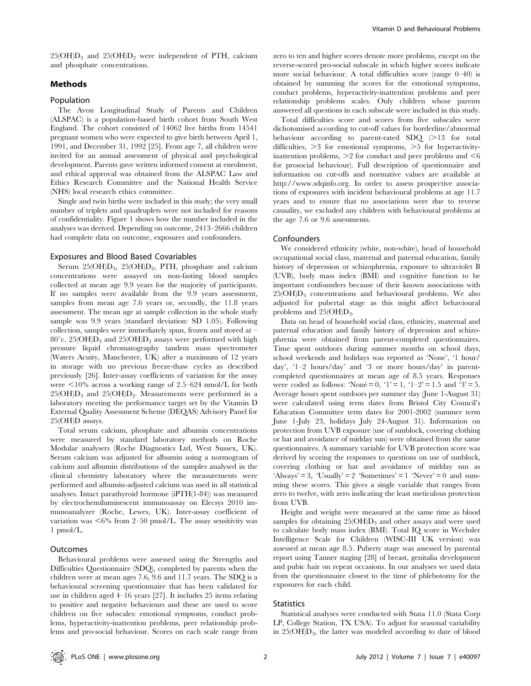$25(OH)D_3$  and  $25(OH)D_2$  were independent of PTH, calcium and phosphate concentrations.

## Methods

## Population

The Avon Longitudinal Study of Parents and Children (ALSPAC) is a population-based birth cohort from South West England. The cohort consisted of 14062 live births from 14541 pregnant women who were expected to give birth between April 1, 1991, and December 31, 1992 [25]. From age 7, all children were invited for an annual assessment of physical and psychological development. Parents gave written informed consent at enrolment, and ethical approval was obtained from the ALSPAC Law and Ethics Research Committee and the National Health Service (NHS) local research ethics committee.

Single and twin births were included in this study; the very small number of triplets and quadruplets were not included for reasons of confidentiality. Figure 1 shows how the number included in the analyses was derived. Depending on outcome, 2413–2666 children had complete data on outcome, exposures and confounders.

#### Exposures and Blood Based Covariables

Serum  $25(OH)D_3$ ,  $25(OH)D_2$ , PTH, phosphate and calcium concentrations were assayed on non-fasting blood samples collected at mean age 9.9 years for the majority of participants. If no samples were available from the 9.9 years assessment, samples from mean age 7.6 years or, secondly, the 11.8 years assessment. The mean age at sample collection in the whole study sample was 9.9 years (standard deviation: SD 1.05). Following collection, samples were immediately spun, frozen and stored at – 80°c. 25(OH) $D_3$  and 25(OH) $D_2$  assays were performed with high pressure liquid chromatography tandem mass spectrometer (Waters Acuity, Manchester, UK) after a maximum of 12 years in storage with no previous freeze-thaw cycles as described previously [26]. Inter-assay coefficients of variation for the assay were  $\leq 10\%$  across a working range of 2.5–624 nmol/L for both  $25(OH)D_3$  and  $25(OH)D_2$ . Measurements were performed in a laboratory meeting the performance target set by the Vitamin D External Quality Assessment Scheme (DEQAS) Advisory Panel for 25(OH)D assays.

Total serum calcium, phosphate and albumin concentrations were measured by standard laboratory methods on Roche Modular analysers (Roche Diagnostics Ltd, West Sussex, UK). Serum calcium was adjusted for albumin using a normogram of calcium and albumin distributions of the samples analysed in the clinical chemistry laboratory where the measurements were performed and albumin-adjusted calcium was used in all statistical analyses. Intact parathyroid hormone (iPTH(1-84)) was measured by electrochemiluminescent immunoassay on Elecsys 2010 immunoanalyzer (Roche, Lewes, UK). Inter-assay coefficient of variation was  $\leq 6\%$  from 2–50 pmol/L. The assay sensitivity was 1 pmol/L.

#### Outcomes

Behavioural problems were assessed using the Strengths and Difficulties Questionnaire (SDQ), completed by parents when the children were at mean ages 7.6, 9.6 and 11.7 years. The SDQ is a behavioural screening questionnaire that has been validated for use in children aged 4–16 years [27]. It includes 25 items relating to positive and negative behaviours and these are used to score children on five subscales: emotional symptoms, conduct problems, hyperactivity-inattention problems, peer relationship problems and pro-social behaviour. Scores on each scale range from zero to ten and higher scores denote more problems, except on the reverse-scored pro-social subscale in which higher scores indicate more social behaviour. A total difficulties score (range 0–40) is obtained by summing the scores for the emotional symptoms, conduct problems, hyperactivity-inattention problems and peer relationship problems scales. Only children whose parents answered all questions in each subscale were included in this study.

Total difficulties score and scores from five subscales were dichotomised according to cut-off values for borderline/abnormal behaviour according to parent-rated SDQ  $(>13$  for total difficulties,  $>3$  for emotional symptoms,  $>5$  for hyperactivityinattention problems,  $>2$  for conduct and peer problems and  $<$ 6 for prosocial behaviour). Full description of questionnaire and information on cut-offs and normative values are available at http://www.sdqinfo.org. In order to assess prospective associations of exposures with incident behavioural problems at age 11.7 years and to ensure that no associations were due to reverse causality, we excluded any children with behavioural problems at the age 7.6 or 9.6 assessments.

#### Confounders

We considered ethnicity (white, non-white), head of household occupational social class, maternal and paternal education, family history of depression or schizophrenia, exposure to ultraviolet B (UVB), body mass index (BMI) and cognitive function to be important confounders because of their known associations with  $25(OH)D<sub>3</sub>$  concentrations and behavioural problems. We also adjusted for pubertal stage as this might affect behavioural problems and  $25(OH)D_3$ .

Data on head of household social class, ethnicity, maternal and paternal education and family history of depression and schizophrenia were obtained from parent-completed questionnaires. Time spent outdoors during summer months on school days, school weekends and holidays was reported as 'None', '1 hour/ day', '1–2 hours/day' and '3 or more hours/day' in parentcompleted questionnaires at mean age of 8.5 years. Responses were coded as follows: 'None` = 0, '1' = 1, '1–2' = 1.5 and '3' = 5. Average hours spent outdoors per summer day (June 1-August 31) were calculated using term dates from Bristol City Council's Education Committee term dates for 2001-2002 (summer term June 1-July 23, holidays July 24-August 31). Information on protection from UVB exposure (use of sunblock, covering clothing or hat and avoidance of midday sun) were obtained from the same questionnaires. A summary variable for UVB protection score was derived by scoring the responses to questions on use of sunblock, covering clothing or hat and avoidance of midday sun as 'Always' = 3, 'Usually' = 2 'Sometimes' = 1 'Never' = 0 and summing these scores. This gives a single variable that ranges from zero to twelve, with zero indicating the least meticulous protection from UVB.

Height and weight were measured at the same time as blood samples for obtaining  $25(OH)D_3$  and other assays and were used to calculate body mass index (BMI). Total IQ score in Wechsler Intelligence Scale for Children (WISC-III UK version) was assessed at mean age 8.5. Puberty stage was assessed by parental report using Tanner staging [28] of breast, genitalia development and pubic hair on repeat occasions. In our analyses we used data from the questionnaire closest to the time of phlebotomy for the exposures for each child.

#### **Statistics**

Statistical analyses were conducted with Stata 11.0 (Stata Corp LP, College Station, TX USA). To adjust for seasonal variability in 25(OH)D<sub>3</sub>, the latter was modeled according to date of blood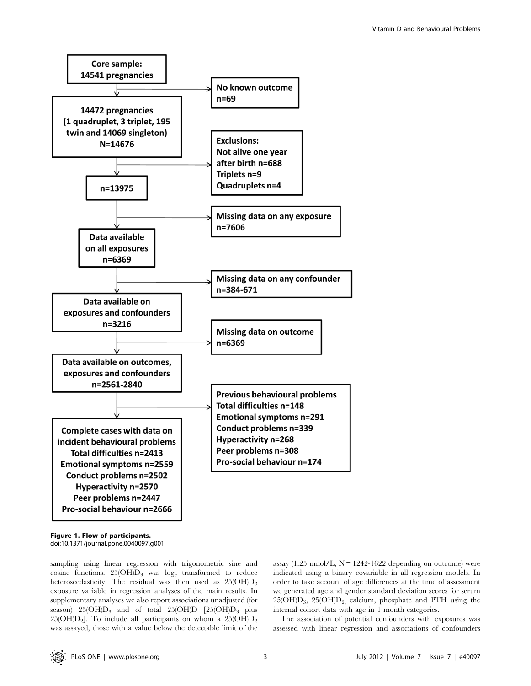

Figure 1. Flow of participants. doi:10.1371/journal.pone.0040097.g001

sampling using linear regression with trigonometric sine and cosine functions.  $25(OH)D_3$  was  $log_e$  transformed to reduce heteroscedasticity. The residual was then used as  $25(OH)D<sub>3</sub>$ exposure variable in regression analyses of the main results. In supplementary analyses we also report associations unadjusted (for season)  $25(OH)D_3$  and of total  $25(OH)D_1$  [25(OH)D<sub>3</sub> plus 25( $OH)D_2$ ]. To include all participants on whom a 25( $OH)D_2$ was assayed, those with a value below the detectable limit of the

assay  $(1.25 \text{ nmol/L}, N = 1242 - 1622 \text{ depending on outcome})$  were indicated using a binary covariable in all regression models. In order to take account of age differences at the time of assessment we generated age and gender standard deviation scores for serum 25(OH)D3, 25(OH)D2, calcium, phosphate and PTH using the internal cohort data with age in 1 month categories.

The association of potential confounders with exposures was assessed with linear regression and associations of confounders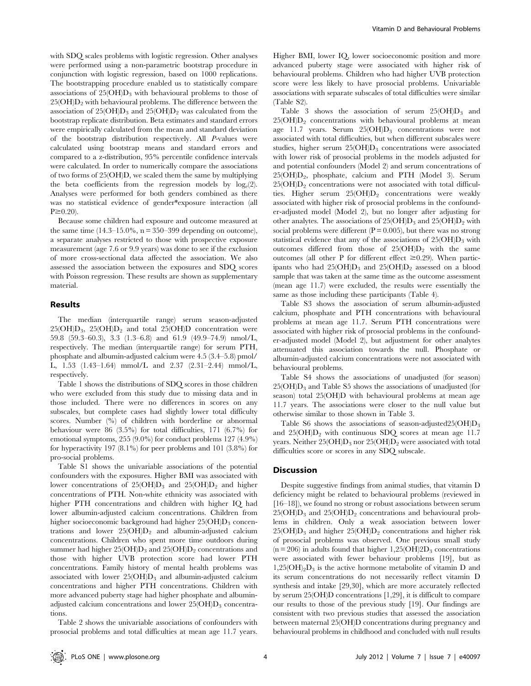with SDQ scales problems with logistic regression. Other analyses were performed using a non-parametric bootstrap procedure in conjunction with logistic regression, based on 1000 replications. The bootstrapping procedure enabled us to statistically compare associations of  $25(OH)D_3$  with behavioural problems to those of  $25(OH)D<sub>2</sub>$  with behavioural problems. The difference between the association of  $25(OH)D_3$  and  $25(OH)D_2$  was calculated from the bootstrap replicate distribution. Beta estimates and standard errors were empirically calculated from the mean and standard deviation of the bootstrap distribution respectively. All P-values were calculated using bootstrap means and standard errors and compared to a z-distribution, 95% percentile confidence intervals were calculated. In order to numerically compare the associations of two forms of 25(OH)D, we scaled them the same by multiplying the beta coefficients from the regression models by  $log_e(2)$ . Analyses were performed for both genders combined as there was no statistical evidence of gender\*exposure interaction (all  $P \geq 0.20$ 

Because some children had exposure and outcome measured at the same time  $(14.3-15.0\%, n = 350-399$  depending on outcome), a separate analyses restricted to those with prospective exposure measurement (age 7.6 or 9.9 years) was done to see if the exclusion of more cross-sectional data affected the association. We also assessed the association between the exposures and SDQ scores with Poisson regression. These results are shown as supplementary material.

## Results

The median (interquartile range) serum season-adjusted  $25(OH)D_3$ ,  $25(OH)D_2$  and total  $25(OH)D$  concentration were 59.8 (59.3–60.3), 3.3 (1.3–6.8) and 61.9 (49.9–74.9) nmol/L, respectively. The median (interquartile range) for serum PTH, phosphate and albumin-adjusted calcium were 4.5 (3.4–5.8) pmol/ L, 1.53 (1.43–1.64) mmol/L and 2.37 (2.31–2.44) mmol/L, respectively.

Table 1 shows the distributions of SDQ scores in those children who were excluded from this study due to missing data and in those included. There were no differences in scores on any subscales, but complete cases had slightly lower total difficulty scores. Number (%) of children with borderline or abnormal behaviour were 86 (3.5%) for total difficulties, 171 (6.7%) for emotional symptoms, 255 (9.0%) for conduct problems 127 (4.9%) for hyperactivity 197 (8.1%) for peer problems and 101 (3.8%) for pro-social problems.

Table S1 shows the univariable associations of the potential confounders with the exposures. Higher BMI was associated with lower concentrations of  $25(OH)D_3$  and  $25(OH)D_2$  and higher concentrations of PTH. Non-white ethnicity was associated with higher PTH concentrations and children with higher IQ had lower albumin-adjusted calcium concentrations. Children from higher socioeconomic background had higher  $25(OH)D_3$  concentrations and lower  $25(OH)D<sub>2</sub>$  and albumin-adjusted calcium concentrations. Children who spent more time outdoors during summer had higher  $25(OH)D_3$  and  $25(OH)D_2$  concentrations and those with higher UVB protection score had lower PTH concentrations. Family history of mental health problems was associated with lower  $25(OH)D_3$  and albumin-adjusted calcium concentrations and higher PTH concentrations. Children with more advanced puberty stage had higher phosphate and albuminadjusted calcium concentrations and lower  $25(OH)D<sub>3</sub>$  concentrations.

Table 2 shows the univariable associations of confounders with prosocial problems and total difficulties at mean age 11.7 years.

Higher BMI, lower IQ, lower socioeconomic position and more advanced puberty stage were associated with higher risk of behavioural problems. Children who had higher UVB protection score were less likely to have prosocial problems. Univariable associations with separate subscales of total difficulties were similar (Table S2).

Table 3 shows the association of serum  $25(OH)D_3$  and  $25(OH)D<sub>2</sub>$  concentrations with behavioural problems at mean age 11.7 years. Serum  $25(OH)D_3$  concentrations were not associated with total difficulties, but when different subscales were studies, higher serum  $25(OH)D_3$  concentrations were associated with lower risk of prosocial problems in the models adjusted for and potential confounders (Model 2) and serum concentrations of 25(OH)D2, phosphate, calcium and PTH (Model 3). Serum  $25(OH)D<sub>2</sub>$  concentrations were not associated with total difficulties. Higher serum  $25(OH)D_2$  concentrations were weakly associated with higher risk of prosocial problems in the confounder-adjusted model (Model 2), but no longer after adjusting for other analytes. The associations of  $25(OH)D_3$  and  $25(OH)D_2$  with social problems were different  $(P = 0.005)$ , but there was no strong statistical evidence that any of the associations of  $25(OH)D<sub>3</sub>$  with outcomes differed from those of  $25(OH)D<sub>2</sub>$  with the same outcomes (all other P for different effect  $\geq 0.29$ ). When participants who had  $25(OH)D_3$  and  $25(OH)D_2$  assessed on a blood sample that was taken at the same time as the outcome assessment (mean age 11.7) were excluded, the results were essentially the same as those including these participants (Table 4).

Table S3 shows the association of serum albumin-adjusted calcium, phosphate and PTH concentrations with behavioural problems at mean age 11.7. Serum PTH concentrations were associated with higher risk of prosocial problems in the confounder-adjusted model (Model 2), but adjustment for other analytes attenuated this association towards the null. Phosphate or albumin-adjusted calcium concentrations were not associated with behavioural problems.

Table S4 shows the associations of unadjusted (for season)  $25(OH)D<sub>3</sub>$  and Table S5 shows the associations of unadjusted (for season) total 25(OH)D with behavioural problems at mean age 11.7 years. The associations were closer to the null value but otherwise similar to those shown in Table 3.

Table S6 shows the associations of season-adjusted25( $OH$ ) $D_3$ and  $25(OH)D<sub>2</sub>$  with continuous SDO scores at mean age 11.7 years. Neither  $25(OHD_3$  nor  $25(OHD_2)$  were associated with total difficulties score or scores in any SDQ subscale.

#### Discussion

Despite suggestive findings from animal studies, that vitamin D deficiency might be related to behavioural problems (reviewed in [16–18]), we found no strong or robust associations between serum  $25(OH)D_3$  and  $25(OH)D_2$  concentrations and behavioural problems in children. Only a weak association between lower  $25(OH)D_3$  and higher  $25(OH)D_2$  concentrations and higher risk of prosocial problems was observed. One previous small study  $(n = 206)$  in adults found that higher  $1,25(OH)2D_3$  concentrations were associated with fewer behaviour problems [19], but as  $1,25(OH)_2D_3$  is the active hormone metabolite of vitamin D and its serum concentrations do not necessarily reflect vitamin D synthesis and intake [29,30], which are more accurately reflected by serum 25(OH)D concentrations [1,29], it is difficult to compare our results to those of the previous study [19]. Our findings are consistent with two previous studies that assessed the association between maternal 25(OH)D concentrations during pregnancy and behavioural problems in childhood and concluded with null results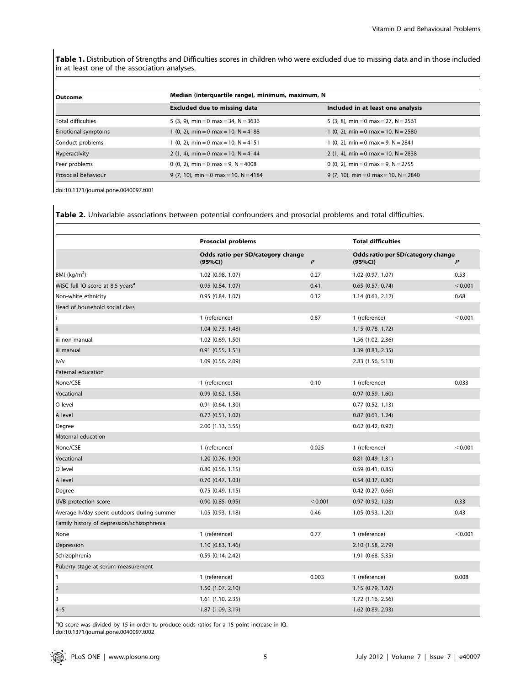Table 1. Distribution of Strengths and Difficulties scores in children who were excluded due to missing data and in those included in at least one of the association analyses.

| l Outcome                 | Median (interquartile range), minimum, maximum, N |                                        |  |
|---------------------------|---------------------------------------------------|----------------------------------------|--|
|                           | <b>Excluded due to missing data</b>               | Included in at least one analysis      |  |
| Total difficulties        | 5 (3, 9), min = 0 max = 34, N = $3636$            | 5 (3, 8), min = 0 max = 27, N = 2561   |  |
| <b>Emotional symptoms</b> | 1 (0, 2), min = 0 max = 10, N = 4188              | 1 (0, 2), min = 0 max = 10, N = 2580   |  |
| Conduct problems          | $1(0, 2)$ , min = 0 max = 10, N = 4151            | $1(0, 2)$ , min = 0 max = 9, N = 2841  |  |
| Hyperactivity             | 2 (1, 4), min = 0 max = 10, N = 4144              | 2 (1, 4), min = 0 max = 10, $N = 2838$ |  |
| Peer problems             | 0 (0, 2), min = 0 max = 9, N = 4008               | 0 (0, 2), min = 0 max = 9, N = 2755    |  |
| Prosocial behaviour       | 9 (7, 10), min = 0 max = 10, N = 4184             | 9 (7, 10), min = 0 max = 10, N = 2840  |  |

doi:10.1371/journal.pone.0040097.t001

Table 2. Univariable associations between potential confounders and prosocial problems and total difficulties.

|                                              | <b>Prosocial problems</b>                    |                  | <b>Total difficulties</b>                    |         |  |
|----------------------------------------------|----------------------------------------------|------------------|----------------------------------------------|---------|--|
|                                              | Odds ratio per SD/category change<br>(95%CI) | $\boldsymbol{P}$ | Odds ratio per SD/category change<br>(95%CI) | P       |  |
| BMI ( $kg/m2$ )                              | 1.02 (0.98, 1.07)                            | 0.27             | 1.02 (0.97, 1.07)                            | 0.53    |  |
| WISC full IQ score at 8.5 years <sup>a</sup> | 0.95(0.84, 1.07)                             | 0.41             | $0.65$ $(0.57, 0.74)$                        | < 0.001 |  |
| Non-white ethnicity                          | 0.95 (0.84, 1.07)                            | 0.12             | 1.14(0.61, 2.12)                             | 0.68    |  |
| Head of household social class               |                                              |                  |                                              |         |  |
| Ť                                            | 1 (reference)                                | 0.87             | 1 (reference)                                | < 0.001 |  |
| ii.                                          | 1.04 (0.73, 1.48)                            |                  | 1.15 (0.78, 1.72)                            |         |  |
| iii non-manual                               | 1.02 (0.69, 1.50)                            |                  | 1.56 (1.02, 2.36)                            |         |  |
| iii manual                                   | $0.91$ $(0.55, 1.51)$                        |                  | 1.39 (0.83, 2.35)                            |         |  |
| iv/v                                         | 1.09 (0.56, 2.09)                            |                  | 2.83 (1.56, 5.13)                            |         |  |
| Paternal education                           |                                              |                  |                                              |         |  |
| None/CSE                                     | 1 (reference)                                | 0.10             | 1 (reference)                                | 0.033   |  |
| Vocational                                   | 0.99(0.62, 1.58)                             |                  | $0.97$ $(0.59, 1.60)$                        |         |  |
| O level                                      | $0.91$ $(0.64, 1.30)$                        |                  | $0.77$ $(0.52, 1.13)$                        |         |  |
| A level                                      | $0.72$ $(0.51, 1.02)$                        |                  | $0.87$ $(0.61, 1.24)$                        |         |  |
| Degree                                       | 2.00 (1.13, 3.55)                            |                  | $0.62$ (0.42, 0.92)                          |         |  |
| Maternal education                           |                                              |                  |                                              |         |  |
| None/CSE                                     | 1 (reference)                                | 0.025            | 1 (reference)                                | < 0.001 |  |
| Vocational                                   | 1.20 (0.76, 1.90)                            |                  | $0.81$ (0.49, 1.31)                          |         |  |
| O level                                      | $0.80$ $(0.56, 1.15)$                        |                  | 0.59(0.41, 0.85)                             |         |  |
| A level                                      | $0.70$ $(0.47, 1.03)$                        |                  | $0.54$ $(0.37, 0.80)$                        |         |  |
| Degree                                       | 0.75(0.49, 1.15)                             |                  | $0.42$ (0.27, 0.66)                          |         |  |
| UVB protection score                         | $0.90$ $(0.85, 0.95)$                        | < 0.001          | $0.97$ $(0.92, 1.03)$                        | 0.33    |  |
| Average h/day spent outdoors during summer   | 1.05 (0.93, 1.18)                            | 0.46             | 1.05 (0.93, 1.20)                            | 0.43    |  |
| Family history of depression/schizophrenia   |                                              |                  |                                              |         |  |
| None                                         | 1 (reference)                                | 0.77             | 1 (reference)                                | < 0.001 |  |
| Depression                                   | 1.10(0.83, 1.46)                             |                  | 2.10 (1.58, 2.79)                            |         |  |
| Schizophrenia                                | $0.59$ $(0.14, 2.42)$                        |                  | 1.91 (0.68, 5.35)                            |         |  |
| Puberty stage at serum measurement           |                                              |                  |                                              |         |  |
| $\mathbf{1}$                                 | 1 (reference)                                | 0.003            | 1 (reference)                                | 0.008   |  |
| $\overline{2}$                               | 1.50 (1.07, 2.10)                            |                  | 1.15 (0.79, 1.67)                            |         |  |
| 3                                            | 1.61 (1.10, 2.35)                            |                  | 1.72 (1.16, 2.56)                            |         |  |
| $4 - 5$                                      | 1.87 (1.09, 3.19)                            |                  | 1.62 (0.89, 2.93)                            |         |  |

<sup>a</sup>IQ score was divided by 15 in order to produce odds ratios for a 15-point increase in IQ. doi:10.1371/journal.pone.0040097.t002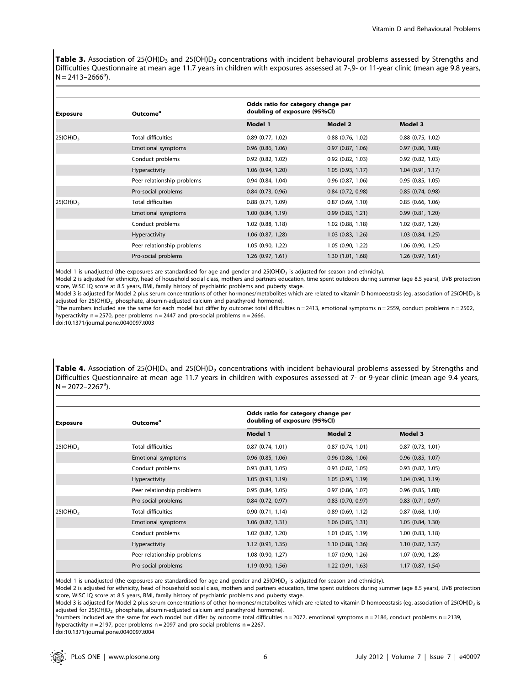Table 3. Association of 25(OH)D<sub>3</sub> and 25(OH)D<sub>2</sub> concentrations with incident behavioural problems assessed by Strengths and Difficulties Questionnaire at mean age 11.7 years in children with exposures assessed at 7-,9- or 11-year clinic (mean age 9.8 years,  $N = 2413 - 2666^a$ ).

| <b>Exposure</b>      | Outcome <sup>a</sup>       | Odds ratio for category change per<br>doubling of exposure (95%CI) |                       |                       |  |
|----------------------|----------------------------|--------------------------------------------------------------------|-----------------------|-----------------------|--|
|                      |                            | Model 1                                                            | Model 2               | Model 3               |  |
| 25(OH)D <sub>3</sub> | <b>Total difficulties</b>  | $0.89$ $(0.77, 1.02)$                                              | $0.88$ $(0.76, 1.02)$ | $0.88$ $(0.75, 1.02)$ |  |
|                      | Emotional symptoms         | $0.96$ (0.86, 1.06)                                                | 0.97(0.87, 1.06)      | 0.97(0.86, 1.08)      |  |
|                      | Conduct problems           | $0.92$ $(0.82, 1.02)$                                              | $0.92$ $(0.82, 1.03)$ | $0.92$ $(0.82, 1.03)$ |  |
|                      | Hyperactivity              | $1.06$ (0.94, 1.20)                                                | 1.05(0.93, 1.17)      | 1.04(0.91, 1.17)      |  |
|                      | Peer relationship problems | 0.94(0.84, 1.04)                                                   | $0.96$ $(0.87, 1.06)$ | 0.95(0.85, 1.05)      |  |
|                      | Pro-social problems        | $0.84$ (0.73, 0.96)                                                | $0.84$ (0.72, 0.98)   | 0.85(0.74, 0.98)      |  |
| 25(OH)D <sub>2</sub> | <b>Total difficulties</b>  | $0.88$ $(0.71, 1.09)$                                              | $0.87$ $(0.69, 1.10)$ | 0.85(0.66, 1.06)      |  |
|                      | Emotional symptoms         | $1.00$ $(0.84, 1.19)$                                              | 0.99(0.83, 1.21)      | 0.99(0.81, 1.20)      |  |
|                      | Conduct problems           | $1.02$ (0.88, 1.18)                                                | $1.02$ (0.88, 1.18)   | $1.02$ (0.87, 1.20)   |  |
|                      | Hyperactivity              | $1.06$ $(0.87, 1.28)$                                              | $1.03$ $(0.83, 1.26)$ | 1.03(0.84, 1.25)      |  |
|                      | Peer relationship problems | 1.05 (0.90, 1.22)                                                  | 1.05(0.90, 1.22)      | $1.06$ (0.90, 1.25)   |  |
|                      | Pro-social problems        | 1.26(0.97, 1.61)                                                   | 1.30(1.01, 1.68)      | 1.26(0.97, 1.61)      |  |

Model 1 is unadjusted (the exposures are standardised for age and gender and 25(OH) $D_3$  is adjusted for season and ethnicity).

Model 2 is adjusted for ethnicity, head of household social class, mothers and partners education, time spent outdoors during summer (age 8.5 years), UVB protection score, WISC IQ score at 8.5 years, BMI, family history of psychiatric problems and puberty stage.

Model 3 is adjusted for Model 2 plus serum concentrations of other hormones/metabolites which are related to vitamin D homoeostasis (eg. association of 25(OH)D<sub>3</sub> is adjusted for  $25(OH)D<sub>2</sub>$ , phosphate, albumin-adjusted calcium and parathyroid hormone).

 $n_{\text{The numbers included are the same for each model but differ by outcome: total difficulties } n = 2413,$  emotional symptoms  $n = 2559$ , conduct problems  $n = 2502$ , hyperactivity  $n = 2570$ , peer problems  $n = 2447$  and pro-social problems  $n = 2666$ .

doi:10.1371/journal.pone.0040097.t003

Table 4. Association of 25(OH) $D_3$  and 25(OH) $D_2$  concentrations with incident behavioural problems assessed by Strengths and Difficulties Questionnaire at mean age 11.7 years in children with exposures assessed at 7- or 9-year clinic (mean age 9.4 years,  $N = 2072 - 2267^a$ ).

| Exposure             | Outcome <sup>a</sup>       | Odds ratio for category change per<br>doubling of exposure (95%CI) |                       |                       |  |
|----------------------|----------------------------|--------------------------------------------------------------------|-----------------------|-----------------------|--|
|                      |                            | Model 1                                                            | Model 2               | Model 3               |  |
| 25(OH)D <sub>3</sub> | <b>Total difficulties</b>  | $0.87$ $(0.74, 1.01)$                                              | $0.87$ $(0.74, 1.01)$ | 0.87(0.73, 1.01)      |  |
|                      | Emotional symptoms         | $0.96$ $(0.85, 1.06)$                                              | $0.96$ $(0.86, 1.06)$ | $0.96$ (0.85, 1.07)   |  |
|                      | Conduct problems           | $0.93$ $(0.83, 1.05)$                                              | $0.93$ $(0.82, 1.05)$ | $0.93$ $(0.82, 1.05)$ |  |
|                      | Hyperactivity              | 1.05(0.93, 1.19)                                                   | 1.05(0.93, 1.19)      | 1.04(0.90, 1.19)      |  |
|                      | Peer relationship problems | 0.95(0.84, 1.05)                                                   | $0.97$ $(0.86, 1.07)$ | $0.96$ $(0.85, 1.08)$ |  |
|                      | Pro-social problems        | $0.84$ (0.72, 0.97)                                                | $0.83$ $(0.70, 0.97)$ | $0.83$ $(0.71, 0.97)$ |  |
| 25(OH)D <sub>2</sub> | <b>Total difficulties</b>  | 0.90(0.71, 1.14)                                                   | $0.89$ (0.69, 1.12)   | 0.87(0.68, 1.10)      |  |
|                      | Emotional symptoms         | $1.06$ $(0.87, 1.31)$                                              | $1.06$ (0.85, 1.31)   | 1.05(0.84, 1.30)      |  |
|                      | Conduct problems           | 1.02 (0.87, 1.20)                                                  | $1.01$ $(0.85, 1.19)$ | $1.00$ $(0.83, 1.18)$ |  |
|                      | Hyperactivity              | 1.12(0.91, 1.35)                                                   | 1.10(0.88, 1.36)      | 1.10(0.87, 1.37)      |  |
|                      | Peer relationship problems | $1.08$ (0.90, 1.27)                                                | 1.07 (0.90, 1.26)     | 1.07 (0.90, 1.28)     |  |
|                      | Pro-social problems        | 1.19 (0.90, 1.56)                                                  | 1.22(0.91, 1.63)      | 1.17(0.87, 1.54)      |  |

Model 1 is unadjusted (the exposures are standardised for age and gender and 25(OH)D<sub>3</sub> is adjusted for season and ethnicity).

Model 2 is adjusted for ethnicity, head of household social class, mothers and partners education, time spent outdoors during summer (age 8.5 years), UVB protection score, WISC IQ score at 8.5 years, BMI, family history of psychiatric problems and puberty stage.

Model 3 is adjusted for Model 2 plus serum concentrations of other hormones/metabolites which are related to vitamin D homoeostasis (eg. association of 25(OH)D<sub>3</sub> is adjusted for  $25(OH)D<sub>2</sub>$ , phosphate, albumin-adjusted calcium and parathyroid hormone).

 $n$ numbers included are the same for each model but differ by outcome total difficulties n = 2072, emotional symptoms n = 2186, conduct problems n = 2139, hyperactivity  $n = 2197$ , peer problems  $n = 2097$  and pro-social problems  $n = 2267$ .

doi:10.1371/journal.pone.0040097.t004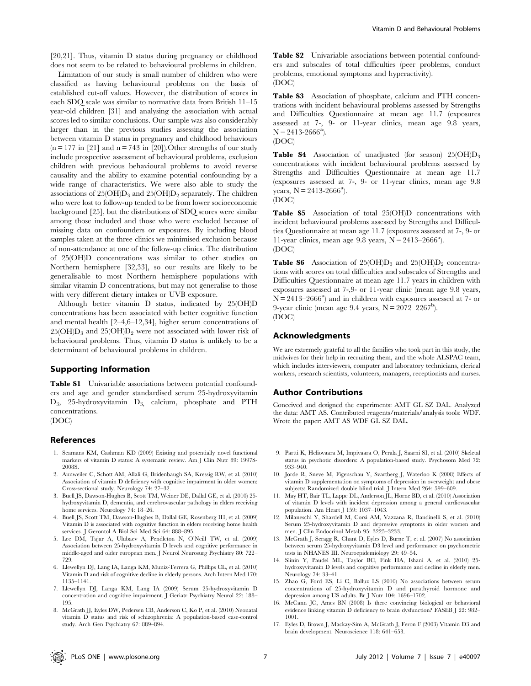[20,21]. Thus, vitamin D status during pregnancy or childhood does not seem to be related to behavioural problems in children.

Limitation of our study is small number of children who were classified as having behavioural problems on the basis of established cut-off values. However, the distribution of scores in each SDQ scale was similar to normative data from British 11–15 year-old children [31] and analysing the association with actual scores led to similar conclusions. Our sample was also considerably larger than in the previous studies assessing the association between vitamin D status in pregnancy and childhood behaviours  $(n = 177$  in [21] and  $n = 743$  in [20]). Other strengths of our study include prospective assessment of behavioural problems, exclusion children with previous behavioural problems to avoid reverse causality and the ability to examine potential confounding by a wide range of characteristics. We were also able to study the associations of  $25(OH)D_3$  and  $25(OH)D_2$  separately. The children who were lost to follow-up tended to be from lower socioeconomic background [25], but the distributions of SDQ scores were similar among those included and those who were excluded because of missing data on confounders or exposures. By including blood samples taken at the three clinics we minimised exclusion because of non-attendance at one of the follow-up clinics. The distribution of 25(OH)D concentrations was similar to other studies on Northern hemisphere [32,33], so our results are likely to be generalisable to most Northern hemisphere populations with similar vitamin D concentrations, but may not generalise to those with very different dietary intakes or UVB exposure.

Although better vitamin D status, indicated by 25(OH)D concentrations has been associated with better cognitive function and mental health [2–4,6–12,34], higher serum concentrations of  $25(OH)D_3$  and  $25(OH)D_2$  were not associated with lower risk of behavioural problems. Thus, vitamin D status is unlikely to be a determinant of behavioural problems in children.

#### Supporting Information

Table S1 Univariable associations between potential confounders and age and gender standardised serum 25-hydroxyvitamin D3, 25-hydroxyvitamin D3, calcium, phosphate and PTH concentrations.

(DOC)

## References

- 1. Seamans KM, Cashman KD (2009) Existing and potentially novel functional markers of vitamin D status: A systematic review. Am J Clin Nutr 89: 1997S-2008S.
- 2. Annweiler C, Schott AM, Allali G, Bridenbaugh SA, Kressig RW, et al. (2010) Association of vitamin D deficiency with cognitive impairment in older women: Cross-sectional study. Neurology 74: 27–32.
- 3. Buell JS, Dawson-Hughes B, Scott TM, Weiner DE, Dallal GE, et al. (2010) 25 hydroxyvitamin D, dementia, and cerebrovascular pathology in elders receiving home services. Neurology 74: 18–26.
- 4. Buell JS, Scott TM, Dawson-Hughes B, Dallal GE, Rosenberg IH, et al. (2009) Vitamin D is associated with cognitive function in elders receiving home health services. J Gerontol A Biol Sci Med Sci 64: 888–895.
- 5. Lee DM, Tajar A, Ulubaev A, Pendleton N, O'Neill TW, et al. (2009) Association between 25-hydroxyvitamin D levels and cognitive performance in middle-aged and older european men. J Neurol Neurosurg Psychiatry 80: 722– 729.
- 6. Llewellyn DJ, Lang IA, Langa KM, Muniz-Terrera G, Phillips CL, et al. (2010) Vitamin D and risk of cognitive decline in elderly persons. Arch Intern Med 170: 1135–1141.
- 7. Llewellyn DJ, Langa KM, Lang IA (2009) Serum 25-hydroxyvitamin D concentration and cognitive impairment. J Geriatr Psychiatry Neurol 22: 188– 195.
- 8. McGrath JJ, Eyles DW, Pedersen CB, Anderson C, Ko P, et al. (2010) Neonatal vitamin D status and risk of schizophrenia: A population-based case-control study. Arch Gen Psychiatry 67: 889–894.

Table S2 Univariable associations between potential confounders and subscales of total difficulties (peer problems, conduct problems, emotional symptoms and hyperactivity). (DOC)

Table S3 Association of phosphate, calcium and PTH concentrations with incident behavioural problems assessed by Strengths and Difficulties Questionnaire at mean age 11.7 (exposures assessed at 7-, 9- or 11-year clinics, mean age 9.8 years,  $N = 2413 - 2666^{\circ}$ 

(DOC)

**Table S4** Association of unadjusted (for season)  $25(OH)D_3$ concentrations with incident behavioural problems assessed by Strengths and Difficulties Questionnaire at mean age 11.7 (exposures assessed at 7-, 9- or 11-year clinics, mean age 9.8 years,  $N = 2413 - 2666^a$ ). (DOC)

Table S5 Association of total 25(OH)D concentrations with incident behavioural problems assessed by Strengths and Difficulties Questionnaire at mean age 11.7 (exposures assessed at 7-, 9- or 11-year clinics, mean age  $9.8$  years,  $N = 2413 - 2666^{\circ}$ ). (DOC)

**Table S6** Association of  $25(OH)D_3$  and  $25(OH)D_2$  concentrations with scores on total difficulties and subscales of Strengths and Difficulties Questionnaire at mean age 11.7 years in children with exposures assessed at 7-,9- or 11-year clinic (mean age 9.8 years,  $N = 2413 - 2666^{\circ}$  and in children with exposures assessed at 7- or 9-year clinic (mean age 9.4 years,  $N = 2072-2267^b$ ). (DOC)

#### Acknowledgments

We are extremely grateful to all the families who took part in this study, the midwives for their help in recruiting them, and the whole ALSPAC team, which includes interviewers, computer and laboratory technicians, clerical workers, research scientists, volunteers, managers, receptionists and nurses.

## Author Contributions

Conceived and designed the experiments: AMT GL SZ DAL. Analyzed the data: AMT AS. Contributed reagents/materials/analysis tools: WDF. Wrote the paper: AMT AS WDF GL SZ DAL.

- 9. Partti K, Heliovaara M, Impivaara O, Perala J, Saarni SI, et al. (2010) Skeletal status in psychotic disorders: A population-based study. Psychosom Med 72: 933–940.
- 10. Jorde R, Sneve M, Figenschau Y, Svartberg J, Waterloo K (2008) Effects of vitamin D supplementation on symptoms of depression in overweight and obese subjects: Randomized double blind trial. J Intern Med 264: 599–609.
- 11. May HT, Bair TL, Lappe DL, Anderson JL, Horne BD, et al. (2010) Association of vitamin D levels with incident depression among a general cardiovascular population. Am Heart J 159: 1037–1043.
- 12. Milaneschi Y, Shardell M, Corsi AM, Vazzana R, Bandinelli S, et al. (2010) Serum 25-hydroxyvitamin D and depressive symptoms in older women and men. J Clin Endocrinol Metab 95: 3225–3233.
- 13. McGrath J, Scragg R, Chant D, Eyles D, Burne T, et al. (2007) No association between serum 25-hydroxyvitamin D3 level and performance on psychometric tests in NHANES III. Neuroepidemiology 29: 49–54.
- 14. Slinin Y, Paudel ML, Taylor BC, Fink HA, Ishani A, et al. (2010) 25 hydroxyvitamin D levels and cognitive performance and decline in elderly men. Neurology 74: 33–41.
- 15. Zhao G, Ford ES, Li C, Balluz LS (2010) No associations between serum concentrations of 25-hydroxyvitamin D and parathyroid hormone and depression among US adults. Br J Nutr 104: 1696–1702.
- 16. McCann JC, Ames BN (2008) Is there convincing biological or behavioral evidence linking vitamin D deficiency to brain dysfunction? FASEB J 22: 982– 1001.
- 17. Eyles D, Brown J, Mackay-Sim A, McGrath J, Feron F (2003) Vitamin D3 and brain development. Neuroscience 118: 641–653.